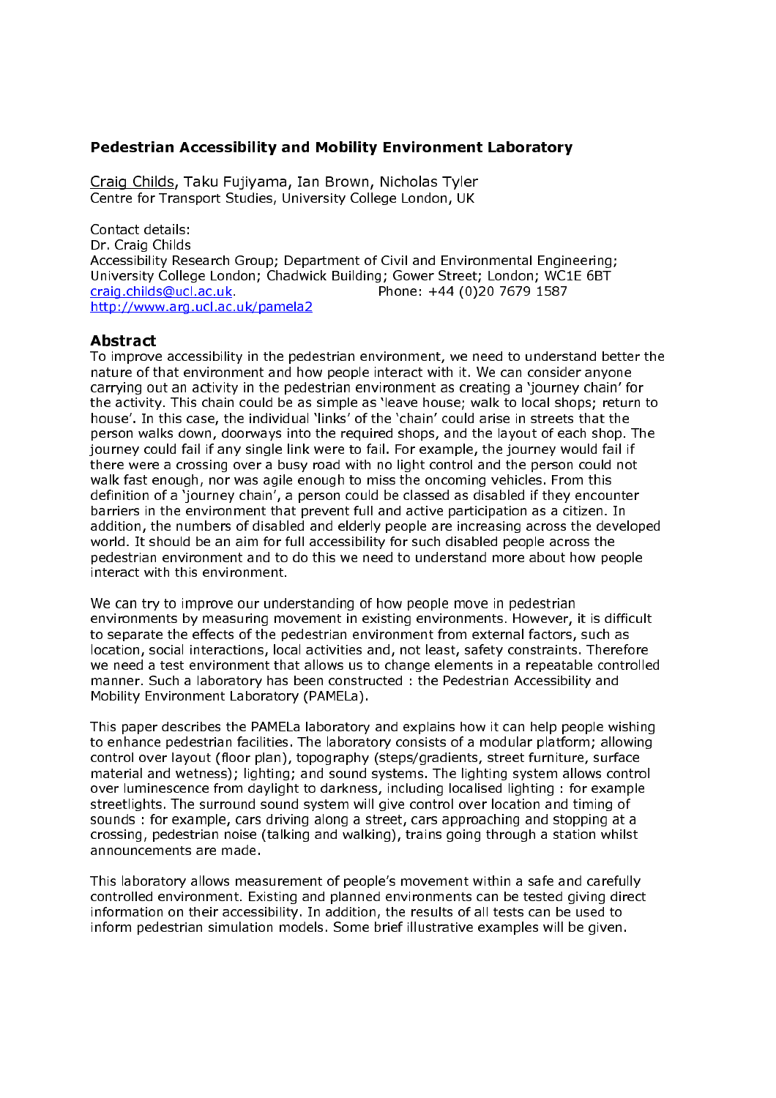## **Pedestrian Accessibility and Mobility Environment Laboratory**

Craig Childs, Taku Fujiyama, Ian Brown, Nicholas Tyler Centre for Transport Studies, University College London, UK

Contact details: Dr. Craig Childs Accessibility Research Group: Department of Civil and Environmental Engineering: University College London; Chadwick Building; Gower Street; London; WC1E 6BT craig.childs@ucl.ac.uk. Phone: +44 (0)20 7679 1587 http://www.arg.ucl.ac.uk/pamela2

### **Abstract**

To improve accessibility in the pedestrian environment, we need to understand better the nature of that environment and how people interact with it. We can consider anyone carrying out an activity in the pedestrian environment as creating a 'journey chain' for the activity. This chain could be as simple as 'leave house; walk to local shops; return to house'. In this case, the individual 'links' of the 'chain' could arise in streets that the person walks down, doorways into the required shops, and the layout of each shop. The journey could fail if any single link were to fail. For example, the journey would fail if there were a crossing over a busy road with no light control and the person could not walk fast enough, nor was agile enough to miss the oncoming vehicles. From this definition of a 'journey chain', a person could be classed as disabled if they encounter barriers in the environment that prevent full and active participation as a citizen. In addition, the numbers of disabled and elderly people are increasing across the developed world. It should be an aim for full accessibility for such disabled people across the pedestrian environment and to do this we need to understand more about how people interact with this environment.

We can try to improve our understanding of how people move in pedestrian environments by measuring movement in existing environments. However, it is difficult to separate the effects of the pedestrian environment from external factors, such as location, social interactions, local activities and, not least, safety constraints. Therefore we need a test environment that allows us to change elements in a repeatable controlled manner. Such a laboratory has been constructed : the Pedestrian Accessibility and Mobility Environment Laboratory (PAMELa).

This paper describes the PAMELa laboratory and explains how it can help people wishing to enhance pedestrian facilities. The laboratory consists of a modular platform; allowing control over layout (floor plan), topography (steps/gradients, street furniture, surface material and wetness); lighting; and sound systems. The lighting system allows control over luminescence from daylight to darkness, including localised lighting: for example streetlights. The surround sound system will give control over location and timing of sounds: for example, cars driving along a street, cars approaching and stopping at a crossing, pedestrian noise (talking and walking), trains going through a station whilst announcements are made

This laboratory allows measurement of people's movement within a safe and carefully controlled environment. Existing and planned environments can be tested giving direct information on their accessibility. In addition, the results of all tests can be used to inform pedestrian simulation models. Some brief illustrative examples will be given.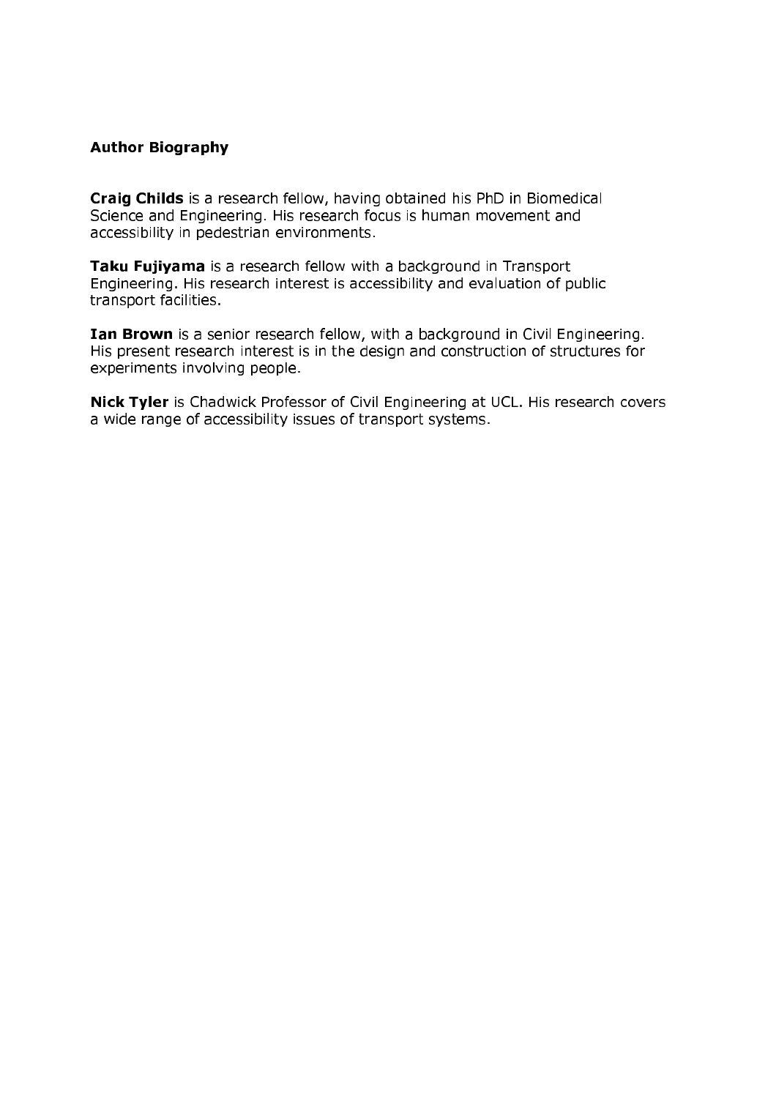# **Author Biography**

Craig Childs is a research fellow, having obtained his PhD in Biomedical Science and Engineering. His research focus is human movement and accessibility in pedestrian environments.

Taku Fujivama is a research fellow with a background in Transport Engineering. His research interest is accessibility and evaluation of public transport facilities.

Ian Brown is a senior research fellow, with a background in Civil Engineering. His present research interest is in the design and construction of structures for experiments involving people.

Nick Tyler is Chadwick Professor of Civil Engineering at UCL. His research covers a wide range of accessibility issues of transport systems.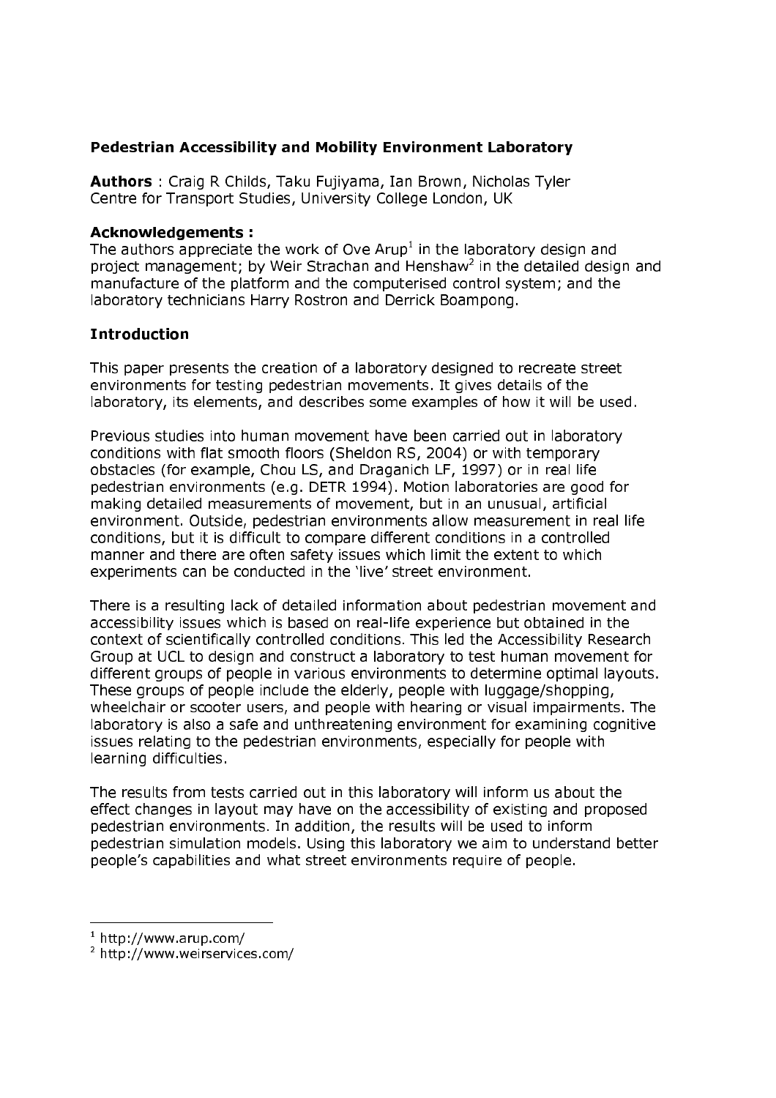# **Pedestrian Accessibility and Mobility Environment Laboratory**

Authors: Craig R Childs, Taku Fujiyama, Ian Brown, Nicholas Tyler Centre for Transport Studies, University College London, UK

## **Acknowledgements:**

The authors appreciate the work of Ove Arup<sup>1</sup> in the laboratory design and project management; by Weir Strachan and Henshaw<sup>2</sup> in the detailed design and manufacture of the platform and the computerised control system; and the laboratory technicians Harry Rostron and Derrick Boampong.

# **Introduction**

This paper presents the creation of a laboratory designed to recreate street environments for testing pedestrian movements. It gives details of the laboratory, its elements, and describes some examples of how it will be used.

Previous studies into human movement have been carried out in laboratory conditions with flat smooth floors (Sheldon RS, 2004) or with temporary obstacles (for example, Chou LS, and Draganich LF, 1997) or in real life pedestrian environments (e.g. DETR 1994). Motion laboratories are good for making detailed measurements of movement, but in an unusual, artificial environment. Outside, pedestrian environments allow measurement in real life conditions, but it is difficult to compare different conditions in a controlled manner and there are often safety issues which limit the extent to which experiments can be conducted in the 'live' street environment.

There is a resulting lack of detailed information about pedestrian movement and accessibility issues which is based on real-life experience but obtained in the context of scientifically controlled conditions. This led the Accessibility Research Group at UCL to design and construct a laboratory to test human movement for different groups of people in various environments to determine optimal layouts. These groups of people include the elderly, people with luggage/shopping, wheelchair or scooter users, and people with hearing or visual impairments. The laboratory is also a safe and unthreatening environment for examining cognitive issues relating to the pedestrian environments, especially for people with learning difficulties.

The results from tests carried out in this laboratory will inform us about the effect changes in layout may have on the accessibility of existing and proposed pedestrian environments. In addition, the results will be used to inform pedestrian simulation models. Using this laboratory we aim to understand better people's capabilities and what street environments require of people.

 $1$  http://www.arup.com/

<sup>&</sup>lt;sup>2</sup> http://www.weirservices.com/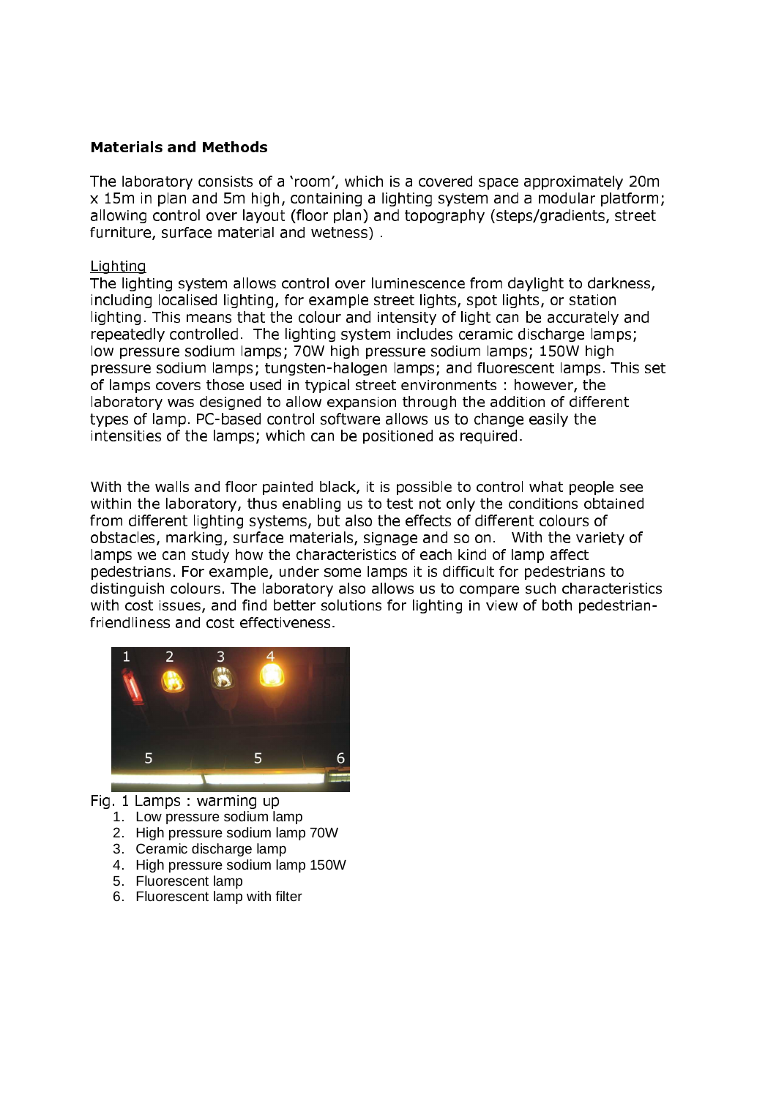# **Materials and Methods**

The laboratory consists of a 'room', which is a covered space approximately 20m  $\times$  15m in plan and 5m high, containing a lighting system and a modular platform: allowing control over layout (floor plan) and topography (steps/gradients, street furniture, surface material and wetness)

### Liahtina

The lighting system allows control over luminescence from daylight to darkness. including localised lighting, for example street lights, spot lights, or station lighting. This means that the colour and intensity of light can be accurately and repeatedly controlled. The lighting system includes ceramic discharge lamps: low pressure sodium lamps: 70W high pressure sodium lamps: 150W high pressure sodium lamps: tungsten-halogen lamps: and fluorescent lamps. This set of lamps covers those used in typical street environments : however, the laboratory was designed to allow expansion through the addition of different types of lamp. PC-based control software allows us to change easily the intensities of the lamps: which can be positioned as required.

With the walls and floor painted black, it is possible to control what people see within the laboratory, thus enabling us to test not only the conditions obtained from different lighting systems, but also the effects of different colours of obstacles, marking, surface materials, signage and so on. With the variety of lamps we can study how the characteristics of each kind of lamp affect pedestrians. For example, under some lamps it is difficult for pedestrians to distinguish colours. The laboratory also allows us to compare such characteristics with cost issues, and find better solutions for lighting in view of both pedestrianfriendliness and cost effectiveness.



- Fig. 1 Lamps: warming up
	- 1. Low pressure sodium lamp
	- 2. High pressure sodium lamp 70W
	- 3. Ceramic discharge lamp
	- 4. High pressure sodium lamp 150W
	- 5. Fluorescent lamp
	- 6. Fluorescent lamp with filter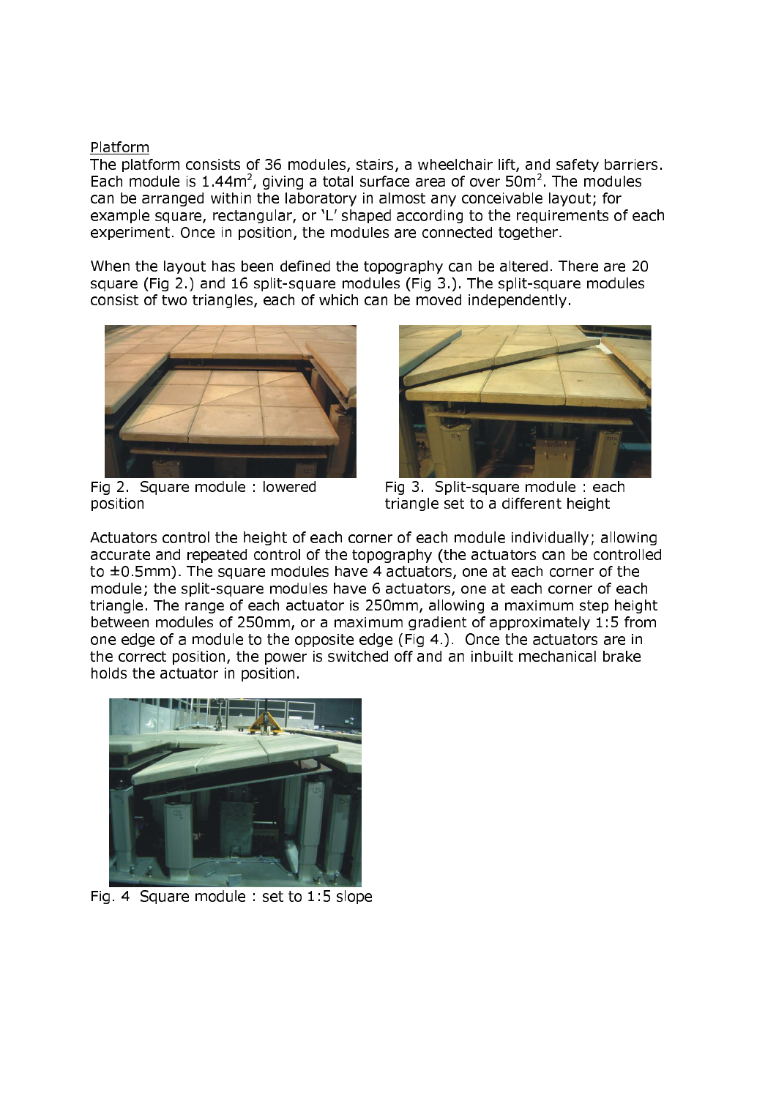## Platform

The platform consists of 36 modules, stairs, a wheelchair lift, and safety barriers. Each module is  $1.44m^2$ , giving a total surface area of over  $50m^2$ . The modules can be arranged within the laboratory in almost any conceivable layout; for example square, rectangular, or 'L' shaped according to the requirements of each experiment. Once in position, the modules are connected together.

When the layout has been defined the topography can be altered. There are 20 square (Fig 2.) and 16 split-square modules (Fig 3.). The split-square modules consist of two triangles, each of which can be moved independently.



Fig 2. Square module: lowered position



Fig 3. Split-square module: each triangle set to a different height

Actuators control the height of each corner of each module individually; allowing accurate and repeated control of the topography (the actuators can be controlled to  $\pm$ 0.5mm). The square modules have 4 actuators, one at each corner of the module; the split-square modules have 6 actuators, one at each corner of each triangle. The range of each actuator is 250mm, allowing a maximum step height between modules of 250mm, or a maximum gradient of approximately 1:5 from one edge of a module to the opposite edge (Fig 4.). Once the actuators are in the correct position, the power is switched off and an inbuilt mechanical brake holds the actuator in position.



Fig. 4 Square module: set to 1:5 slope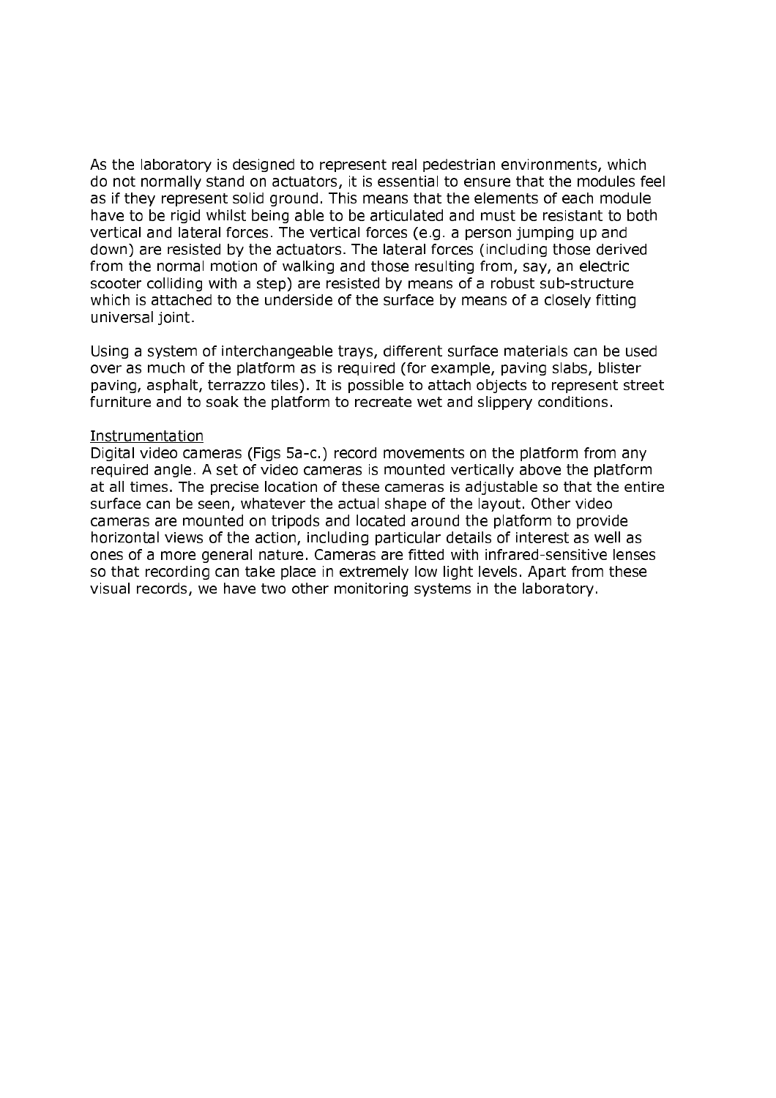As the laboratory is designed to represent real pedestrian environments, which do not normally stand on actuators, it is essential to ensure that the modules feel as if they represent solid ground. This means that the elements of each module have to be rigid whilst being able to be articulated and must be resistant to both vertical and lateral forces. The vertical forces (e.g. a person jumping up and down) are resisted by the actuators. The lateral forces (including those derived from the normal motion of walking and those resulting from, say, an electric scooter colliding with a step) are resisted by means of a robust sub-structure which is attached to the underside of the surface by means of a closely fitting universal joint.

Using a system of interchangeable trays, different surface materials can be used over as much of the platform as is required (for example, paving slabs, blister paving, asphalt, terrazzo tiles). It is possible to attach objects to represent street furniture and to soak the platform to recreate wet and slippery conditions.

#### Instrumentation

Digital video cameras (Figs 5a-c.) record movements on the platform from any required angle. A set of video cameras is mounted vertically above the platform at all times. The precise location of these cameras is adjustable so that the entire surface can be seen, whatever the actual shape of the layout. Other video cameras are mounted on tripods and located around the platform to provide horizontal views of the action, including particular details of interest as well as ones of a more general nature. Cameras are fitted with infrared-sensitive lenses so that recording can take place in extremely low light levels. Apart from these visual records, we have two other monitoring systems in the laboratory.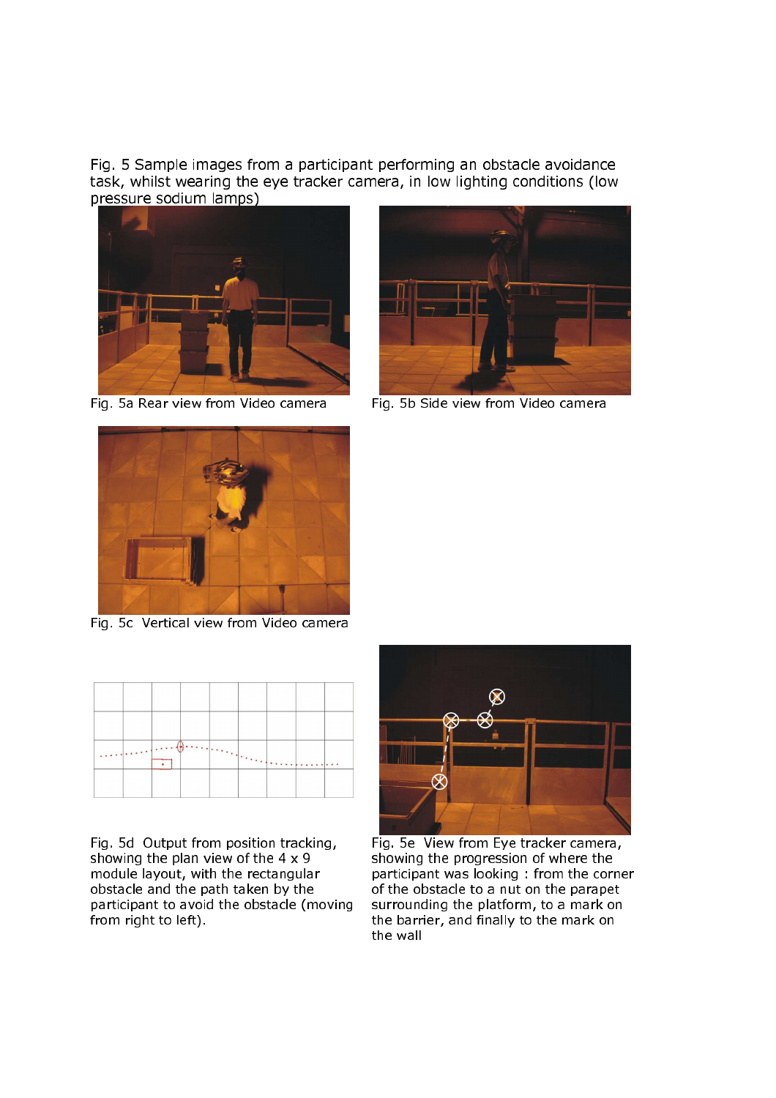Fig. 5 Sample images from a participant performing an obstacle avoidance task, whilst wearing the eye tracker camera, in low lighting conditions (low pressure sodium lamps)



Fig. 5a Rear view from Video camera



Fig. 5b Side view from Video camera



Fig. 5c Vertical view from Video camera

| <b>TELESCOPE</b><br>------- | $\mathcal{F}(\mathcal{A})_{\mathcal{F}(\mathcal{A})}$ |  |  |
|-----------------------------|-------------------------------------------------------|--|--|
|                             |                                                       |  |  |

Fig. 5d Output from position tracking, showing the plan view of the  $4 \times 9$ module layout, with the rectangular obstacle and the path taken by the participant to avoid the obstacle (moving from right to left)



Fig. 5e View from Eye tracker camera, showing the progression of where the participant was looking: from the corner of the obstacle to a nut on the parapet surrounding the platform, to a mark on the barrier, and finally to the mark on the wall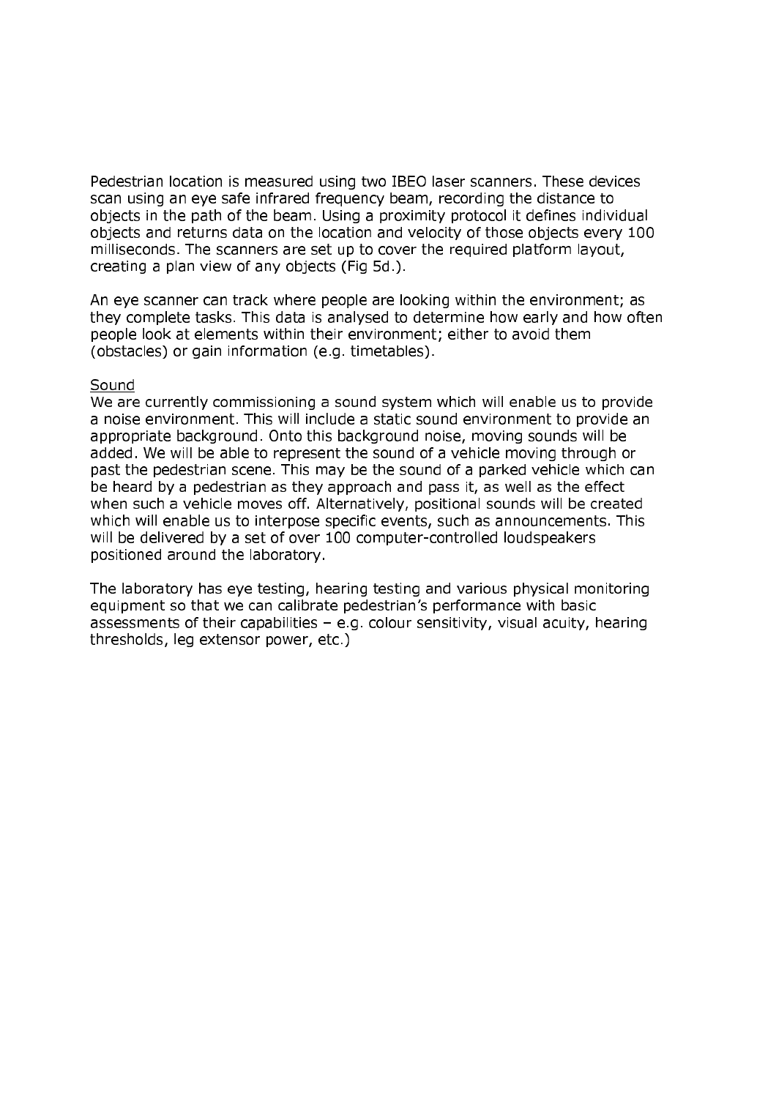Pedestrian location is measured using two IBEO laser scanners. These devices scan using an eye safe infrared frequency beam, recording the distance to obiects in the path of the beam. Using a proximity protocol it defines individual objects and returns data on the location and velocity of those objects every 100 milliseconds. The scanners are set up to cover the required platform layout, creating a plan view of any objects (Fig 5d.).

An eye scanner can track where people are looking within the environment; as they complete tasks. This data is analysed to determine how early and how often people look at elements within their environment; either to avoid them (obstacles) or gain information (e.g. timetables).

## Sound

We are currently commissioning a sound system which will enable us to provide a noise environment. This will include a static sound environment to provide an appropriate background. Onto this background noise, moving sounds will be added. We will be able to represent the sound of a vehicle moving through or past the pedestrian scene. This may be the sound of a parked vehicle which can be heard by a pedestrian as they approach and pass it, as well as the effect when such a vehicle moves off. Alternatively, positional sounds will be created which will enable us to interpose specific events, such as announcements. This will be delivered by a set of over 100 computer-controlled loudspeakers positioned around the laboratory.

The laboratory has eye testing, hearing testing and various physical monitoring equipment so that we can calibrate pedestrian's performance with basic assessments of their capabilities - e.g. colour sensitivity, visual acuity, hearing thresholds, leg extensor power, etc.)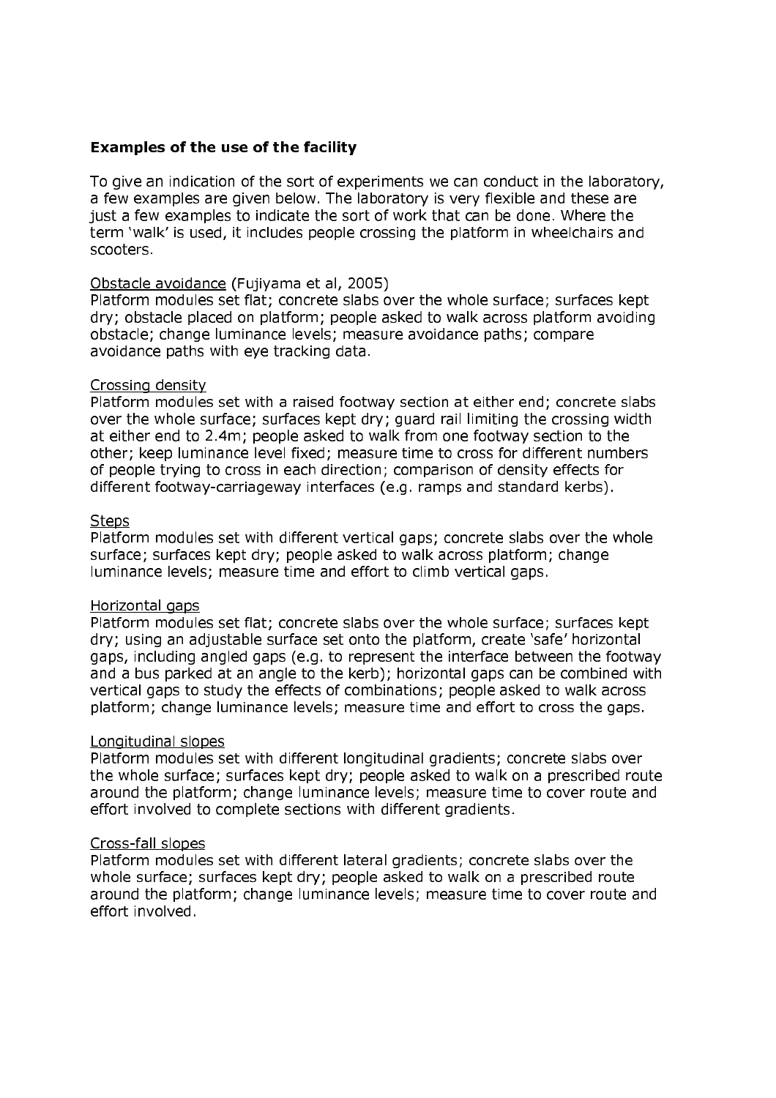# **Examples of the use of the facility**

To give an indication of the sort of experiments we can conduct in the laboratory, a few examples are given below. The laboratory is very flexible and these are just a few examples to indicate the sort of work that can be done. Where the term 'walk' is used, it includes people crossing the platform in wheelchairs and scooters.

## Obstacle avoidance (Fujiyama et al. 2005)

Platform modules set flat; concrete slabs over the whole surface; surfaces kept dry; obstacle placed on platform; people asked to walk across platform avoiding obstacle; change luminance levels; measure avoidance paths; compare avoidance paths with eye tracking data.

### Crossing density

Platform modules set with a raised footway section at either end; concrete slabs over the whole surface; surfaces kept dry; guard rail limiting the crossing width at either end to 2.4m; people asked to walk from one footway section to the other; keep luminance level fixed; measure time to cross for different numbers of people trying to cross in each direction; comparison of density effects for different footway-carriageway interfaces (e.g. ramps and standard kerbs).

### **Steps**

Platform modules set with different vertical gaps; concrete slabs over the whole surface; surfaces kept dry; people asked to walk across platform; change luminance levels; measure time and effort to climb vertical gaps.

## Horizontal gaps

Platform modules set flat; concrete slabs over the whole surface; surfaces kept dry; using an adjustable surface set onto the platform, create 'safe' horizontal gaps, including angled gaps (e.g. to represent the interface between the footway and a bus parked at an angle to the kerb); horizontal gaps can be combined with vertical gaps to study the effects of combinations; people asked to walk across platform; change luminance levels; measure time and effort to cross the gaps.

## Longitudinal slopes

Platform modules set with different longitudinal gradients; concrete slabs over the whole surface; surfaces kept dry; people asked to walk on a prescribed route around the platform; change luminance levels; measure time to cover route and effort involved to complete sections with different gradients.

#### Cross-fall slopes

Platform modules set with different lateral gradients; concrete slabs over the whole surface; surfaces kept dry; people asked to walk on a prescribed route around the platform; change luminance levels; measure time to cover route and effort involved.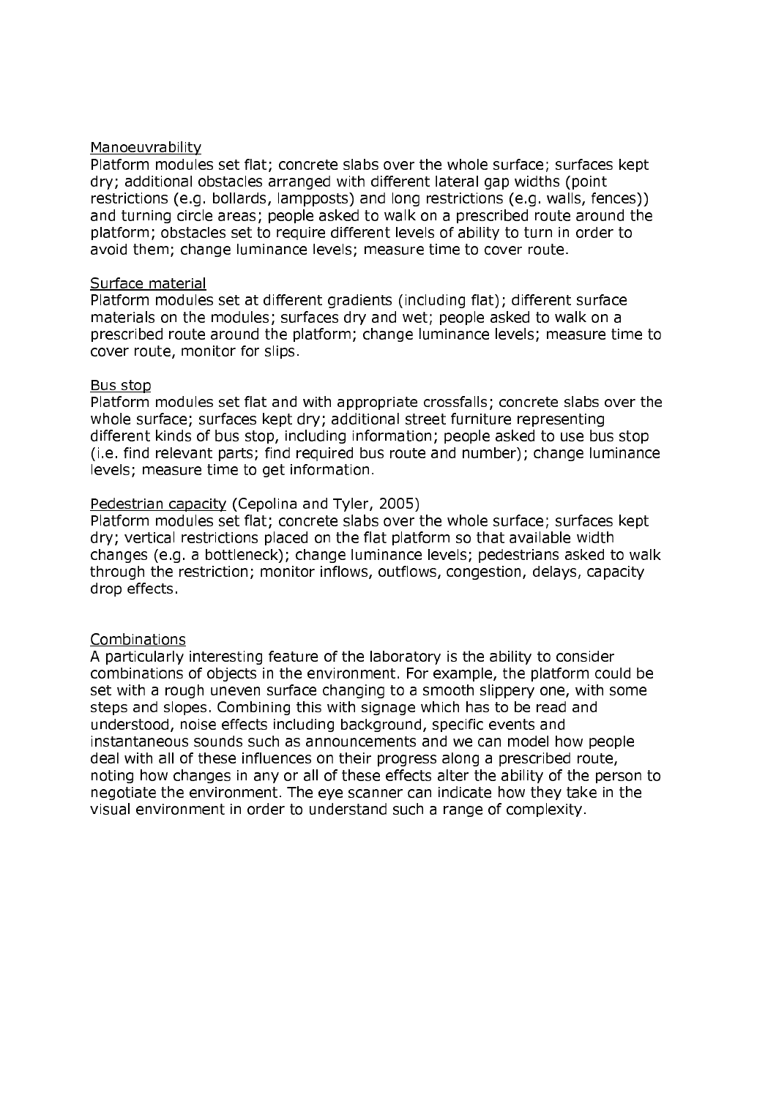### Manoeuvrability

Platform modules set flat; concrete slabs over the whole surface; surfaces kept dry; additional obstacles arranged with different lateral gap widths (point restrictions (e.g. bollards, lampposts) and long restrictions (e.g. walls, fences)) and turning circle areas; people asked to walk on a prescribed route around the platform; obstacles set to require different levels of ability to turn in order to avoid them; change luminance levels; measure time to cover route.

#### Surface material

Platform modules set at different gradients (including flat); different surface materials on the modules; surfaces dry and wet; people asked to walk on a prescribed route around the platform; change luminance levels; measure time to cover route, monitor for slips.

### Bus stop

Platform modules set flat and with appropriate crossfalls; concrete slabs over the whole surface; surfaces kept dry; additional street furniture representing different kinds of bus stop, including information; people asked to use bus stop (i.e. find relevant parts; find required bus route and number); change luminance levels; measure time to get information.

## Pedestrian capacity (Cepolina and Tyler, 2005)

Platform modules set flat; concrete slabs over the whole surface; surfaces kept dry: vertical restrictions placed on the flat platform so that available width changes (e.g. a bottleneck); change luminance levels; pedestrians asked to walk through the restriction; monitor inflows, outflows, congestion, delays, capacity drop effects.

## **Combinations**

A particularly interesting feature of the laboratory is the ability to consider combinations of objects in the environment. For example, the platform could be set with a rough uneven surface changing to a smooth slippery one, with some steps and slopes. Combining this with signage which has to be read and understood, noise effects including background, specific events and instantaneous sounds such as announcements and we can model how people deal with all of these influences on their progress along a prescribed route, noting how changes in any or all of these effects alter the ability of the person to negotiate the environment. The eve scanner can indicate how they take in the visual environment in order to understand such a range of complexity.